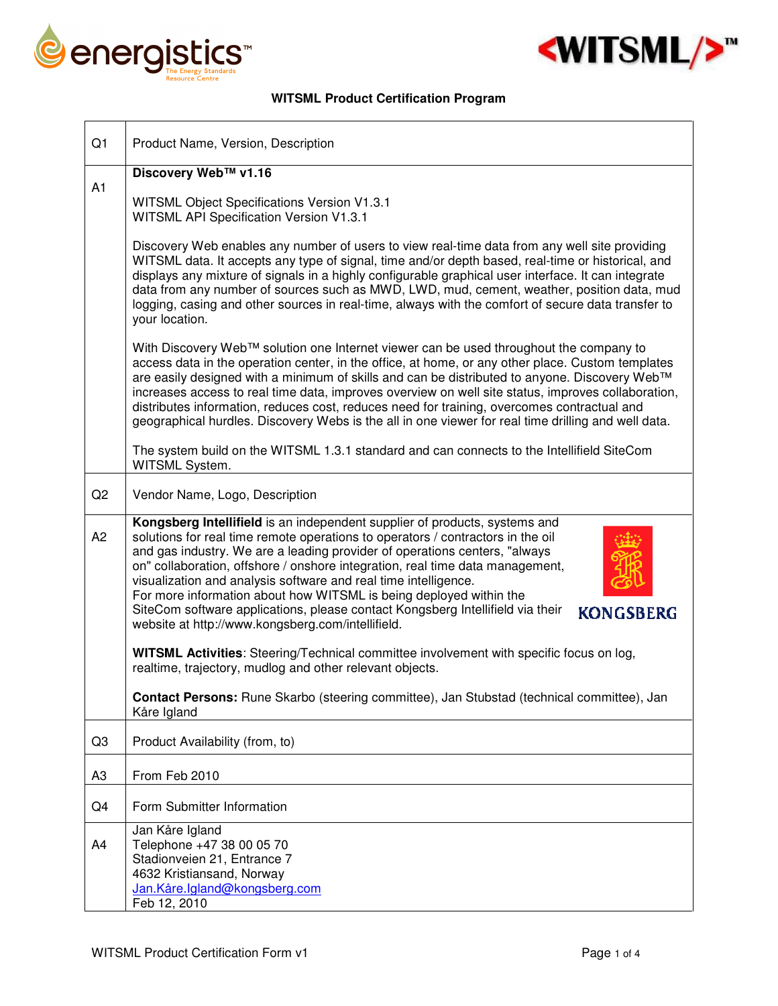



## **WITSML Product Certification Program**

| Q1             | Product Name, Version, Description                                                                                                                                                                                                                                                                                                                                                                                                                                                                                                                                                                                               |
|----------------|----------------------------------------------------------------------------------------------------------------------------------------------------------------------------------------------------------------------------------------------------------------------------------------------------------------------------------------------------------------------------------------------------------------------------------------------------------------------------------------------------------------------------------------------------------------------------------------------------------------------------------|
|                | Discovery Web™ v1.16                                                                                                                                                                                                                                                                                                                                                                                                                                                                                                                                                                                                             |
| A1             | WITSML Object Specifications Version V1.3.1<br>WITSML API Specification Version V1.3.1                                                                                                                                                                                                                                                                                                                                                                                                                                                                                                                                           |
|                | Discovery Web enables any number of users to view real-time data from any well site providing<br>WITSML data. It accepts any type of signal, time and/or depth based, real-time or historical, and<br>displays any mixture of signals in a highly configurable graphical user interface. It can integrate<br>data from any number of sources such as MWD, LWD, mud, cement, weather, position data, mud<br>logging, casing and other sources in real-time, always with the comfort of secure data transfer to<br>your location.                                                                                                  |
|                | With Discovery Web™ solution one Internet viewer can be used throughout the company to<br>access data in the operation center, in the office, at home, or any other place. Custom templates<br>are easily designed with a minimum of skills and can be distributed to anyone. Discovery Web™<br>increases access to real time data, improves overview on well site status, improves collaboration,<br>distributes information, reduces cost, reduces need for training, overcomes contractual and<br>geographical hurdles. Discovery Webs is the all in one viewer for real time drilling and well data.                         |
|                | The system build on the WITSML 1.3.1 standard and can connects to the Intellifield SiteCom<br>WITSML System.                                                                                                                                                                                                                                                                                                                                                                                                                                                                                                                     |
| Q2             | Vendor Name, Logo, Description                                                                                                                                                                                                                                                                                                                                                                                                                                                                                                                                                                                                   |
| A2             | Kongsberg Intellifield is an independent supplier of products, systems and<br>solutions for real time remote operations to operators / contractors in the oil<br>and gas industry. We are a leading provider of operations centers, "always<br>on" collaboration, offshore / onshore integration, real time data management,<br>visualization and analysis software and real time intelligence.<br>For more information about how WITSML is being deployed within the<br>SiteCom software applications, please contact Kongsberg Intellifield via their<br><b>KONGSBERG</b><br>website at http://www.kongsberg.com/intellifield. |
|                | WITSML Activities: Steering/Technical committee involvement with specific focus on log,<br>realtime, trajectory, mudlog and other relevant objects.                                                                                                                                                                                                                                                                                                                                                                                                                                                                              |
|                | Contact Persons: Rune Skarbo (steering committee), Jan Stubstad (technical committee), Jan<br>Kåre Igland                                                                                                                                                                                                                                                                                                                                                                                                                                                                                                                        |
| Q <sub>3</sub> | Product Availability (from, to)                                                                                                                                                                                                                                                                                                                                                                                                                                                                                                                                                                                                  |
| A <sub>3</sub> | From Feb 2010                                                                                                                                                                                                                                                                                                                                                                                                                                                                                                                                                                                                                    |
| Q4             | Form Submitter Information                                                                                                                                                                                                                                                                                                                                                                                                                                                                                                                                                                                                       |
| A4             | Jan Kåre Igland<br>Telephone +47 38 00 05 70<br>Stadionveien 21, Entrance 7<br>4632 Kristiansand, Norway<br>Jan.Kåre.Igland@kongsberg.com<br>Feb 12, 2010                                                                                                                                                                                                                                                                                                                                                                                                                                                                        |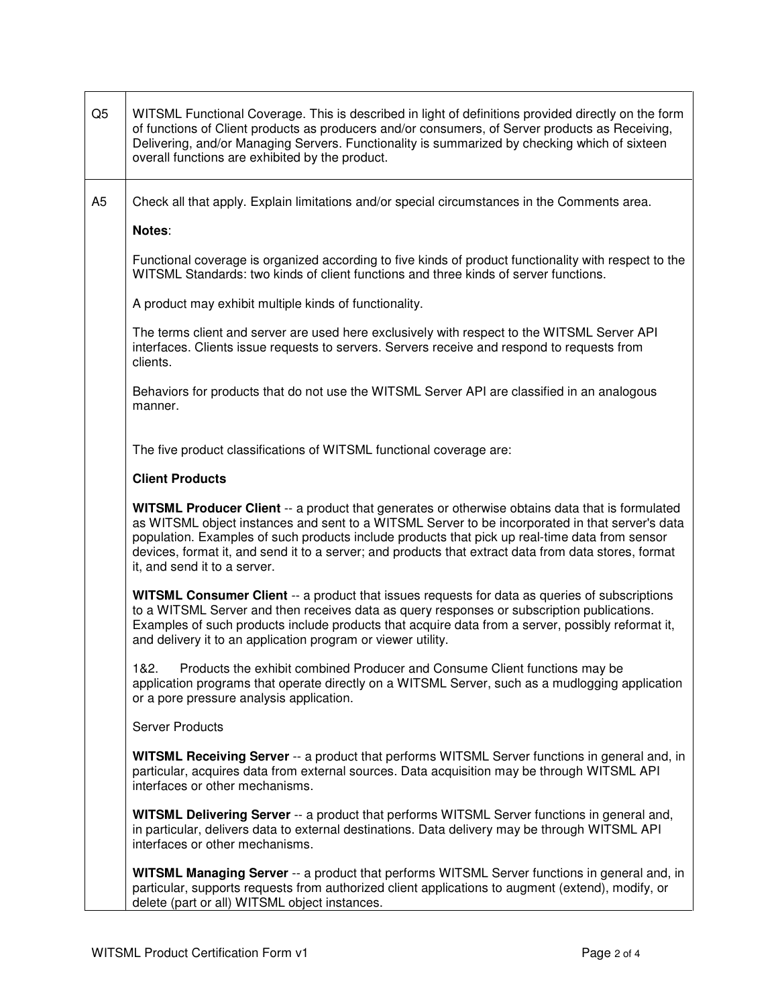| Q <sub>5</sub> | WITSML Functional Coverage. This is described in light of definitions provided directly on the form<br>of functions of Client products as producers and/or consumers, of Server products as Receiving,<br>Delivering, and/or Managing Servers. Functionality is summarized by checking which of sixteen<br>overall functions are exhibited by the product.                                                                                   |
|----------------|----------------------------------------------------------------------------------------------------------------------------------------------------------------------------------------------------------------------------------------------------------------------------------------------------------------------------------------------------------------------------------------------------------------------------------------------|
| A <sub>5</sub> | Check all that apply. Explain limitations and/or special circumstances in the Comments area.                                                                                                                                                                                                                                                                                                                                                 |
|                | Notes:                                                                                                                                                                                                                                                                                                                                                                                                                                       |
|                | Functional coverage is organized according to five kinds of product functionality with respect to the<br>WITSML Standards: two kinds of client functions and three kinds of server functions.                                                                                                                                                                                                                                                |
|                | A product may exhibit multiple kinds of functionality.                                                                                                                                                                                                                                                                                                                                                                                       |
|                | The terms client and server are used here exclusively with respect to the WITSML Server API<br>interfaces. Clients issue requests to servers. Servers receive and respond to requests from<br>clients.                                                                                                                                                                                                                                       |
|                | Behaviors for products that do not use the WITSML Server API are classified in an analogous<br>manner.                                                                                                                                                                                                                                                                                                                                       |
|                | The five product classifications of WITSML functional coverage are:                                                                                                                                                                                                                                                                                                                                                                          |
|                | <b>Client Products</b>                                                                                                                                                                                                                                                                                                                                                                                                                       |
|                | WITSML Producer Client -- a product that generates or otherwise obtains data that is formulated<br>as WITSML object instances and sent to a WITSML Server to be incorporated in that server's data<br>population. Examples of such products include products that pick up real-time data from sensor<br>devices, format it, and send it to a server; and products that extract data from data stores, format<br>it, and send it to a server. |
|                | WITSML Consumer Client -- a product that issues requests for data as queries of subscriptions<br>to a WITSML Server and then receives data as query responses or subscription publications.<br>Examples of such products include products that acquire data from a server, possibly reformat it,<br>and delivery it to an application program or viewer utility.                                                                             |
|                | 1&2.<br>Products the exhibit combined Producer and Consume Client functions may be<br>application programs that operate directly on a WITSML Server, such as a mudlogging application<br>or a pore pressure analysis application.                                                                                                                                                                                                            |
|                | <b>Server Products</b>                                                                                                                                                                                                                                                                                                                                                                                                                       |
|                | WITSML Receiving Server -- a product that performs WITSML Server functions in general and, in<br>particular, acquires data from external sources. Data acquisition may be through WITSML API<br>interfaces or other mechanisms.                                                                                                                                                                                                              |
|                | WITSML Delivering Server -- a product that performs WITSML Server functions in general and,<br>in particular, delivers data to external destinations. Data delivery may be through WITSML API<br>interfaces or other mechanisms.                                                                                                                                                                                                             |
|                | WITSML Managing Server -- a product that performs WITSML Server functions in general and, in<br>particular, supports requests from authorized client applications to augment (extend), modify, or<br>delete (part or all) WITSML object instances.                                                                                                                                                                                           |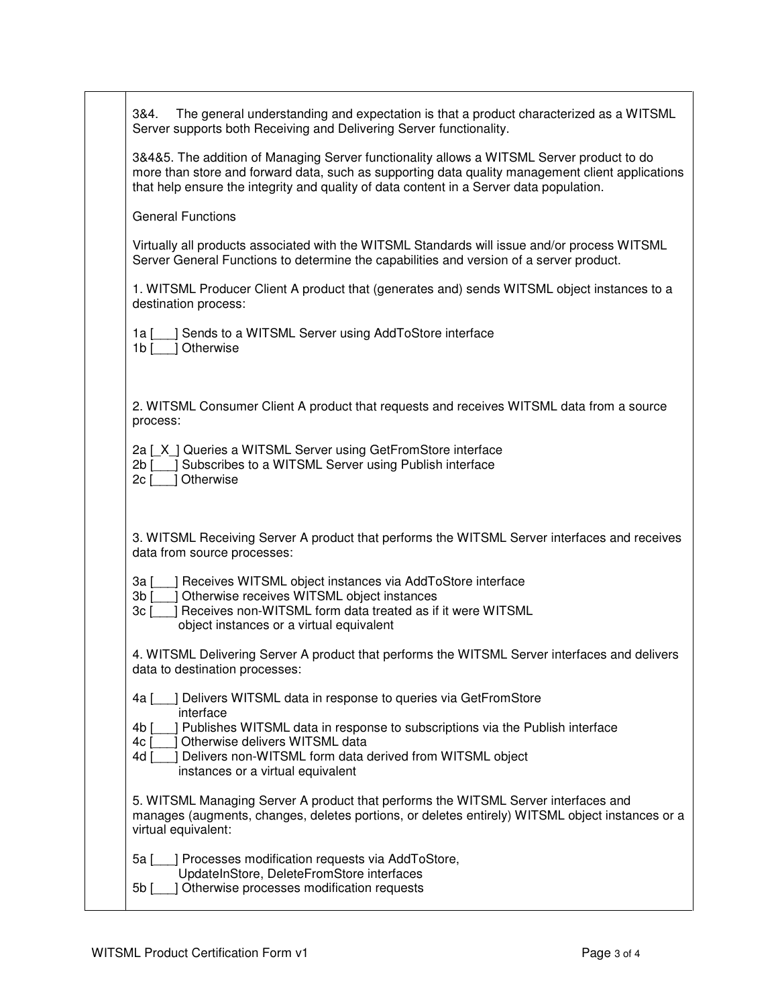| The general understanding and expectation is that a product characterized as a WITSML<br>3&4.<br>Server supports both Receiving and Delivering Server functionality.                                                                                                                     |
|------------------------------------------------------------------------------------------------------------------------------------------------------------------------------------------------------------------------------------------------------------------------------------------|
| 3&4&5. The addition of Managing Server functionality allows a WITSML Server product to do<br>more than store and forward data, such as supporting data quality management client applications<br>that help ensure the integrity and quality of data content in a Server data population. |
| <b>General Functions</b>                                                                                                                                                                                                                                                                 |
| Virtually all products associated with the WITSML Standards will issue and/or process WITSML<br>Server General Functions to determine the capabilities and version of a server product.                                                                                                  |
| 1. WITSML Producer Client A product that (generates and) sends WITSML object instances to a<br>destination process:                                                                                                                                                                      |
| ] Sends to a WITSML Server using AddToStore interface<br>1a I<br>1 Otherwise<br>1 $\mathsf{b}$ [                                                                                                                                                                                         |
| 2. WITSML Consumer Client A product that requests and receives WITSML data from a source<br>process:                                                                                                                                                                                     |
| 2a [X ] Queries a WITSML Server using GetFromStore interface<br>Subscribes to a WITSML Server using Publish interface<br>$2b$ $\sqrt{ }$<br>2c [<br>Otherwise                                                                                                                            |
| 3. WITSML Receiving Server A product that performs the WITSML Server interfaces and receives<br>data from source processes:                                                                                                                                                              |
| ] Receives WITSML object instances via AddToStore interface<br>3a [                                                                                                                                                                                                                      |
| J Otherwise receives WITSML object instances<br>$3b$ $\lceil$<br>] Receives non-WITSML form data treated as if it were WITSML<br>3c [<br>object instances or a virtual equivalent                                                                                                        |
| 4. WITSML Delivering Server A product that performs the WITSML Server interfaces and delivers<br>data to destination processes:                                                                                                                                                          |
| ] Delivers WITSML data in response to queries via GetFromStore<br>4a ſ<br>interface                                                                                                                                                                                                      |
| ] Publishes WITSML data in response to subscriptions via the Publish interface<br>4b [<br>Otherwise delivers WITSML data<br>4c<br>Delivers non-WITSML form data derived from WITSML object<br>4d [<br>instances or a virtual equivalent                                                  |
| 5. WITSML Managing Server A product that performs the WITSML Server interfaces and<br>manages (augments, changes, deletes portions, or deletes entirely) WITSML object instances or a<br>virtual equivalent:                                                                             |
|                                                                                                                                                                                                                                                                                          |